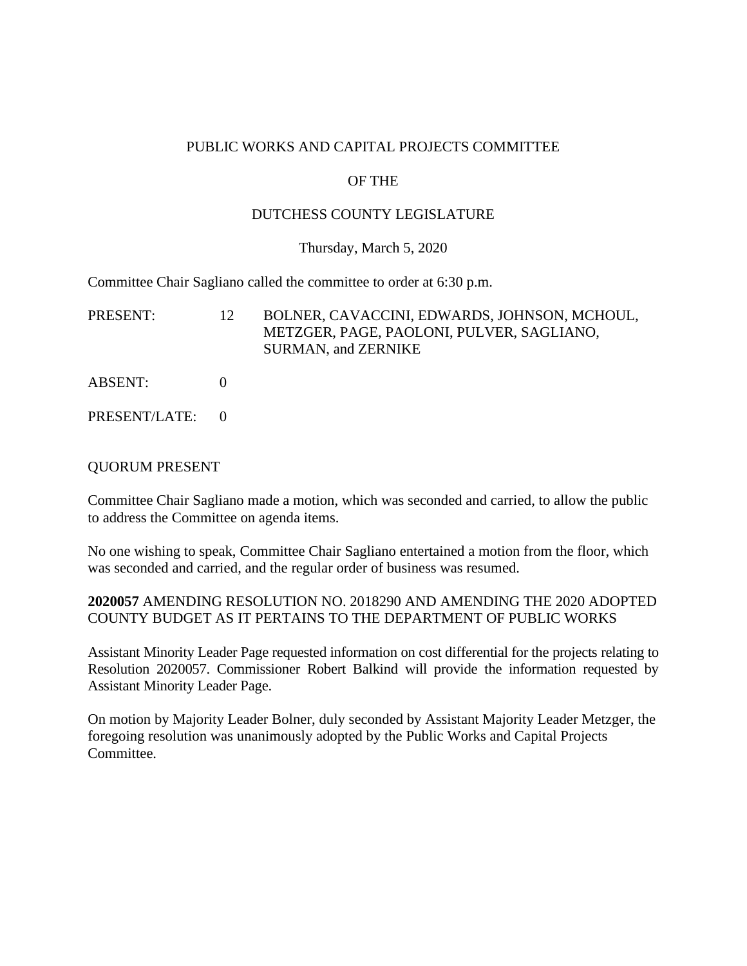### PUBLIC WORKS AND CAPITAL PROJECTS COMMITTEE

# OF THE

## DUTCHESS COUNTY LEGISLATURE

### Thursday, March 5, 2020

Committee Chair Sagliano called the committee to order at 6:30 p.m.

PRESENT: 12 BOLNER, CAVACCINI, EDWARDS, JOHNSON, MCHOUL, METZGER, PAGE, PAOLONI, PULVER, SAGLIANO, SURMAN, and ZERNIKE

- ABSENT: 0
- PRESENT/LATE: 0

### QUORUM PRESENT

Committee Chair Sagliano made a motion, which was seconded and carried, to allow the public to address the Committee on agenda items.

No one wishing to speak, Committee Chair Sagliano entertained a motion from the floor, which was seconded and carried, and the regular order of business was resumed.

**2020057** AMENDING RESOLUTION NO. 2018290 AND AMENDING THE 2020 ADOPTED COUNTY BUDGET AS IT PERTAINS TO THE DEPARTMENT OF PUBLIC WORKS

Assistant Minority Leader Page requested information on cost differential for the projects relating to Resolution 2020057. Commissioner Robert Balkind will provide the information requested by Assistant Minority Leader Page.

On motion by Majority Leader Bolner, duly seconded by Assistant Majority Leader Metzger, the foregoing resolution was unanimously adopted by the Public Works and Capital Projects Committee.